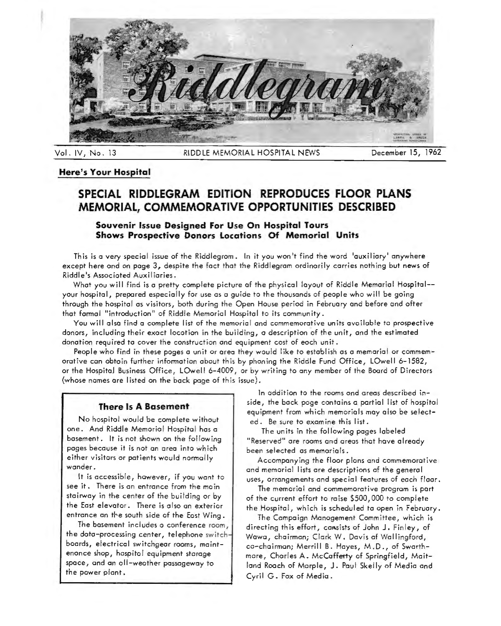

Vol. IV, No. 13 RIDDLE MEMORIAL HOSPITAL NEWS December 15, 1962

#### **Here's Your Hospital**

## **SPECIAL RIDDLEGRAM EDITION REPRODUCES FLOOR PLANS MEMORIAL, COMMEMORATIVE OPPORTUNITIES DESCRIBED**

### **Souvenir Issue Designed For Use On Hospital Tours Shows Prospective Donors Locations Of Memorial Units**

This is a very special issue of the Riddlegrom. In it you won't find the word 'auxiliary' anywhere except here and on page 3, despite the fact that the Riddlegrom ordinarily carries nothing but news of Riddle's Associated Auxiliaries.

What you will find is a pretty complete picture of the physical layout of Riddle Memorial Hospital- your hospital, prepared especially for use as a guide to the thousands of people who will be going through the hospital as visitors, both during the Open House period in February and before and ofter that formal "introduction" of Riddle Memorial Hospital to its community.

You will also find o complete list of the memorial and commemorative units available to prospective donors, including their exact location in the building, a description of the unit, and the estimated donation required to cover the construction and equipment cost of each unit.

People who find in these pages a unit or area they would like to establish as a memorial or commemorative can obtain further information about this by phoning the Riddle Fund Office, LOwell 6-1582, or the Hospital Business Office, LOwell 6-4009, or by writing to any member of the Board of Directors (whose names are listed on the back page of this issue).

#### **There Is A Basement**

No hospital would be complete without one. And Riddle Memorial Hospital has a basement. It is not shown on the following pages because it is not on area into which either visitors or patients would normally wander.

It is accessible, however, if you wont to see it. There is an entrance from the moin stairway in the center of the building or by the East elevator. There is also on exterior entrance an the south side of the East Wing.

The basement includes a conference room, the data-processing center, telephone switchboards, electrical switchgear rooms, maintenance shop, hospital equipment storage space, and on all-weather passageway to the power plant.

In addition to the rooms and areas described inside, the bock page contains a partial list of hospital equipment from which memorials may also be selected. Be sure to examine this list.

The units in the following pages labeled "Reserved" ore rooms and areas that hove already been selected as memorials.

Accompanying the floor plans and commemorative and memorial lists are descriptions of the general uses, arrangements and special features of each floor.

The memorial and commemorative program is port of the current effort to raise \$500,000 to complete the Hospital, which is scheduled to open in February.

The Campaign Management Committee, wh.ich is directing this effort, cansists of John J. Finley, of Wawo, chairman; Clark W. Davis of Wallingford, co-chairman; Merrill B. Hayes, M.D., of Swarthmore, Charles A. McCaffetty of Springfield, Maitland Roach of Marple, J. Paul Skelly of Media and Cyril G. Fox of Media.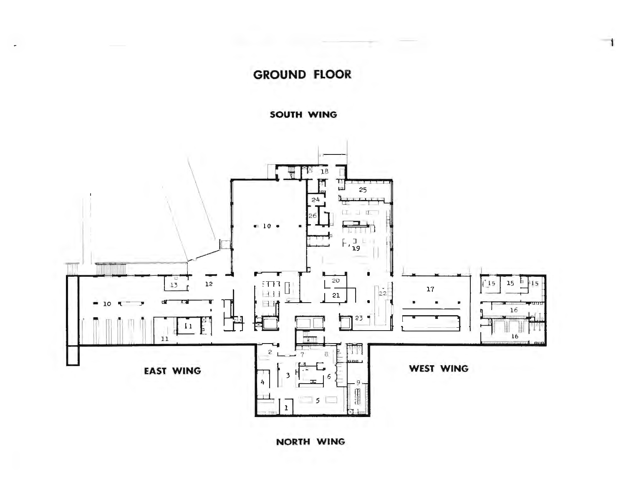# **GROUND FLOOR**

1

SOUTH WING

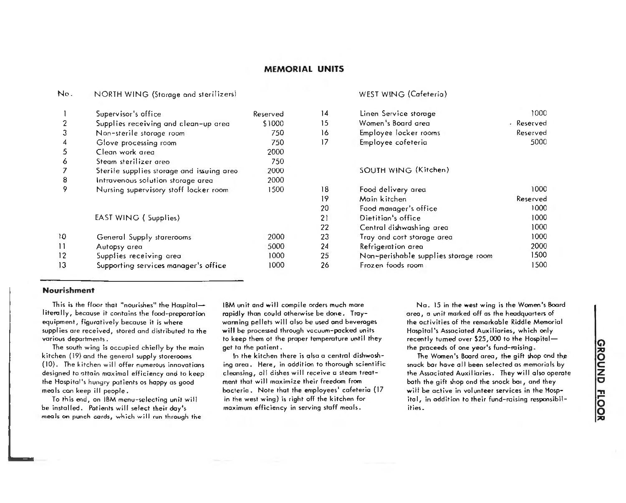#### No. NORTH WING (Storage and sterilizers) WEST WING (Cafeteria)

|    | Supervisor's office                       | Reserved | 14 | Linen Service storage      |
|----|-------------------------------------------|----------|----|----------------------------|
|    | Supplies receiving and clean-up area      | \$1000   | 15 | Women's Board area         |
| 3  | Non-sterile storage room                  | 750      | 16 | Employee locker rooms      |
|    | Glove processing room                     | 750      | 17 | Employee cofeteria         |
| 5  | Clean work area                           | 2000     |    |                            |
| 6  | Steam sterilizer areo                     | 750      |    |                            |
|    | Sterile supplies storage and issuing area | 2000     |    | <b>SOUTH WING (Kitcher</b> |
| 8  | Intravenous solution storage area         | 2000     |    |                            |
| 9  | Nursing supervisory stoff locker room     | 1500     | 18 | Food delivery area         |
|    |                                           |          | 19 | Main kitchen               |
|    |                                           |          | 20 | Faod manager's office      |
|    | EAST WING (Supplies)                      |          | 21 | Dietitian's office         |
|    |                                           |          | 22 | Central dishwashing are    |
| 10 | General Supply starerooms                 | 2000     | 23 | Tray ond cort starage ar   |
| 11 | Autopsy area                              | 5000     | 24 | Refrigeration area         |
| 12 | Supplies receiving area                   | 1000     | 25 | Nan-perishable supplies    |
| 13 | Supporting services manager's office      | 1000     | 26 | Frozen foods room          |
|    |                                           |          |    |                            |

| 14 | Linen Service storage                | 1000       |
|----|--------------------------------------|------------|
| 15 | Women's Board area                   | - Reserved |
| 16 | Employee Tocker rooms                | Reserved   |
| 17 | Employee cofeteria                   | 5000       |
|    | SOUTH WING (Kitchen)                 |            |
| 18 | Food delivery area                   | 1000       |
| 19 | Main kitchen                         | Reserved   |
| 20 | Faod manager's office                | 1000       |
| 21 | Dietitian's office                   | 1000       |
| 22 | Central dishwashing area             | 1000       |
| 23 | Tray ond cort starage area           | 1000       |
| 24 | Refrigeration area                   | 2000       |
| 25 | Nan-perishable supplies storage room | 1500       |
| 26 | Frozen foods room                    | 1500       |

#### **Nourishment**

This is the floor that "nourishes" the Haspitalliterally, because it contains the food-preparation equipment, figuratively because it is where supplies are received, stored and distributed to the various deportments.

The south wing is occupied chiefly by the main kitchen (19) and the general supply storerooms (10). The kitchen will offer numerous innovations designed to attain maximal efficiency and to keep the Hospital's hungry patients as happy as good meals con keep ill people.

To this end, on IBM menu-selecting unit will be installed. Patients will select their day's meals on punch cords, which will run through the IBM unit and will compile orders much more rapidly than could otherwise be done. Troywarming pellets will also be used and beverages will be processed through vacuum-pocked units to keep them of the proper temperature until they get to the patient.

In the kitchen there is also o central dishwashing area. Here, in addition to thorough scientific cleansing, all dishes will receive a steam treatment that will maximize their freedom from bacteria. Note that the employees' cafeteria ( 17 in the west wing) is right off the kitchen for maximum efficiency in serving staff meals.

No. 15 in the west wing is the Women's Boord area, o unit marked off as the headquarters of the activities of the remarkable Riddle Memorial Hospital's Associated Auxiliaries, which only recently turned over \$25,000 to the Hospitalthe proceeds of one year's fund-raising.

The Women's Board area, the gift shop ond the snack bar hove all been selected as memorials by the Associated Auxiliaries. They will also operate both the gift shop ond the snock bar, and they will be active in volunteer services in the Hospital, in addition to their fund-raising responsibilities.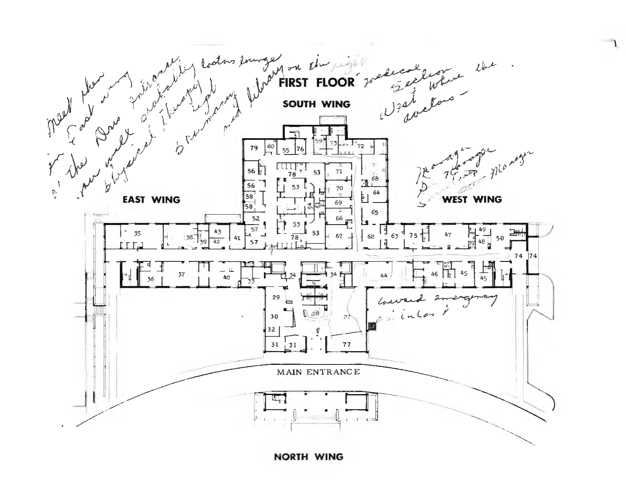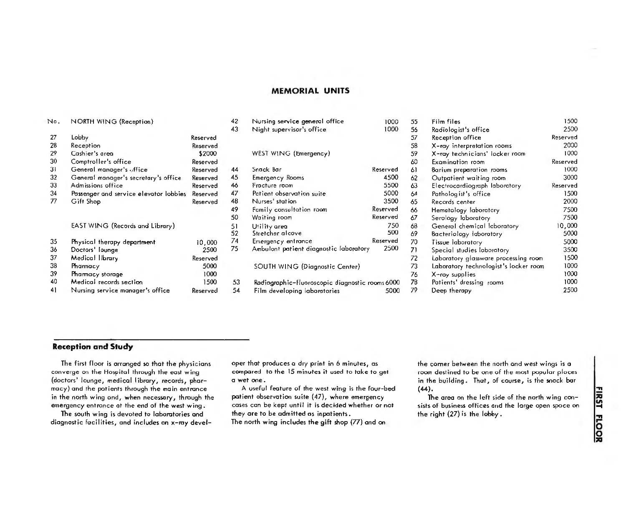| N٥. | NORTH WING (Reception)                 |          | 42 | Nursing service general office                  | 1000     | 55 | Film files                            | 1500     |
|-----|----------------------------------------|----------|----|-------------------------------------------------|----------|----|---------------------------------------|----------|
|     |                                        |          | 43 | Night supervisor's office                       | 1000     | 56 | Radiologist's office                  | 2500     |
| 27  | Lobby                                  | Reserved |    |                                                 |          | 57 | Reception office                      | Reserved |
| 28  | Reception                              | Reserved |    |                                                 |          | 58 | X-ray interpretation rooms            | 2000     |
| 29  | Cashier's area                         | \$2000   |    | WEST WING (Emergency)                           |          | 59 | X-ray technicians' locker room        | 1000     |
| 30  | Comptroller's office                   | Reserved |    |                                                 |          | 60 | Examination room                      | Reserved |
| 31  | General manager's office               | Reserved | 44 | Snack Bar                                       | Reserved | 61 | Barium preparation rooms              | 1000     |
| 32  | General manager's secretary's office   | Reserved | 45 | <b>Emergency Rooms</b>                          | 4500     | 62 | Outpatient waiting room               | 3000     |
| 33  | Admissions office                      | Reserved | 46 | Fracture room                                   | 5500     | 63 | Electrocardiograph laboratory         | Reserved |
| 34  | Passenger and service elevator lobbies | Reserved | 47 | Patient observation suite                       | 5000     | 64 | Pathologist's office                  | 1500     |
| 77  | Gift Shop                              | Reserved | 48 | Nurses' station                                 | 3500     | 65 | Records center                        | 2000     |
|     |                                        |          | 49 | Family consultation room                        | Reserved | 66 | Hematology laboratory                 | 7500     |
|     |                                        |          | 50 | Waiting room                                    | Reserved | 67 | Serology laboratory                   | 7500     |
|     | EAST WING (Records and Library)        |          | 51 | Utility area                                    | 750      | 68 | General chemical laboratory           | 10,000   |
|     |                                        |          | 52 | Stretcher alcove                                | 500      | 69 | Bacteriology laboratory               | 5000     |
| 35  | Physical therapy department            | 10,000   | 74 | Emergency entrance                              | Reserved | 70 | Tissue Iaboratory                     | 5000     |
| 36  | Doctors' lounge                        | 2500     | 75 | Ambulant patient diagnostic laboratory          | 2500     | 71 | Special studies laboratory            | 3500     |
| 37  | Medical library                        | Reserved |    |                                                 |          | 72 | Laboratory glassware processing room  | 1500     |
| 38  | Pharmacy                               | 5000     |    | SOUTH WING (Diagnostic Center)                  |          | 73 | Laboratory technologist's locker room | 1000     |
| 39  | Pharmacy storage                       | 1000     |    |                                                 |          | 76 | X-ray supplies                        | 1000     |
| 40  | Medical records section                | 1500     | 53 | Radiographic-fluoroscopic diagnostic rooms 6000 |          | 78 | Patients' dressing rooms              | 1000     |
| 41  | Nursing service manager's office       | Reserved | 54 | Film developing laboratories                    | 5000     | 79 | Deep therapy                          | 2500     |
|     |                                        |          |    |                                                 |          |    |                                       |          |

### **Reception and Study**

The first floor is arranged so that the physicians converge on the Hospital through the eost wing (doctors' lounge, medical library, records, pharmacy) and the patients through the main entrance in the north wing and, when necessary, through the emergency entrance at the end of the west wing.

The south wing is devoted to laboratories and diagnostic facilities, and includes an x-roy develaper that produces a dry print in 6 minutes, as compared to the 15 minutes it used to take to get a wet one.

A useful feature of the west wing is the four-bed patient observation suite (47), where emergency cases can be kept until it is decided whether or not they are to be admitted as inpatients. The north wing includes the gift shop (77) and on

the comer between the north and west wings is a room destined to be one of the most popular places in the building. That, of course, is the snack bar (44).

The area on the left side of the north wing consists of business offices and the large open space on the right (27) is the lobby.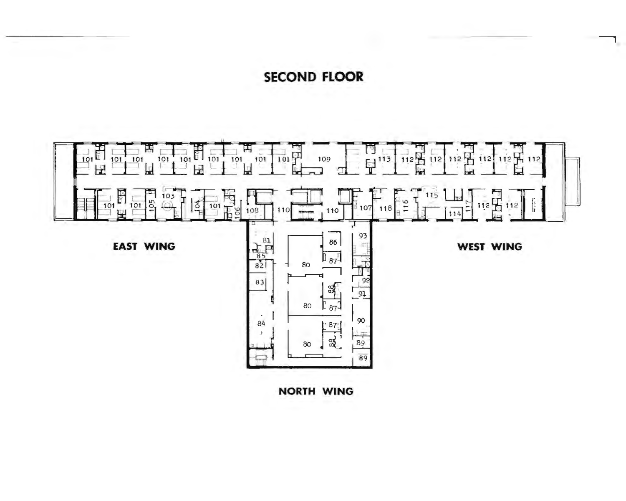SECOND FLOOR

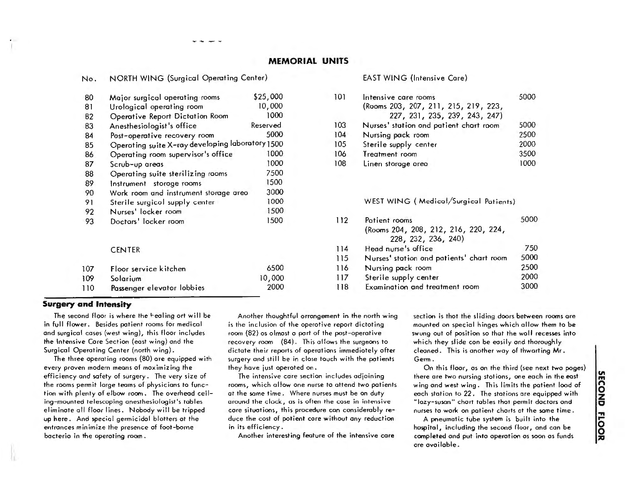| Major surgical operating rooms    | \$25,000                                                                                                                             |                                                                                                                                     |
|-----------------------------------|--------------------------------------------------------------------------------------------------------------------------------------|-------------------------------------------------------------------------------------------------------------------------------------|
| Urological operating room         | 10,000                                                                                                                               |                                                                                                                                     |
|                                   | 1000                                                                                                                                 |                                                                                                                                     |
|                                   | Reserved                                                                                                                             |                                                                                                                                     |
| Post-operative recovery room      | 5000                                                                                                                                 |                                                                                                                                     |
|                                   |                                                                                                                                      |                                                                                                                                     |
|                                   | 1000                                                                                                                                 |                                                                                                                                     |
| Scrub-up areas                    | 1000                                                                                                                                 |                                                                                                                                     |
| Operating suite sterilizing rooms | 7500                                                                                                                                 |                                                                                                                                     |
| Instrument storage rooms          | 1500                                                                                                                                 |                                                                                                                                     |
|                                   | 3000                                                                                                                                 |                                                                                                                                     |
|                                   | 1000                                                                                                                                 |                                                                                                                                     |
| Nurses' locker room               | 1500                                                                                                                                 |                                                                                                                                     |
| Doctars' locker room              | 1500                                                                                                                                 |                                                                                                                                     |
| <b>CENTER</b>                     |                                                                                                                                      |                                                                                                                                     |
| Floor service kitchen             | 6500                                                                                                                                 |                                                                                                                                     |
| Solarium                          | 10,000                                                                                                                               |                                                                                                                                     |
| Passenger elevator lobbies        | 2000                                                                                                                                 |                                                                                                                                     |
|                                   | Operative Report Dictation Room<br>Anesthesiologist's office<br>Operating room supervisor's office<br>Sterile surgicol supply center | NORTH WING (Surgical Operating Center)<br>Operating suite X-ray developing laboratory 1500<br>Work room and instrument storage areo |

NORTH WING (Surgical Operating Center)

#### EAST WING (Intensive Care)

| 101 | Intensive care rooms                   | 5000 |
|-----|----------------------------------------|------|
|     | (Rooms 203, 207, 211, 215, 219, 223,   |      |
|     | 227, 231, 235, 239, 243, 247)          |      |
| 103 | Nurses' station and patient chart room | 5000 |
| 104 | Nursing pack room                      | 2500 |
| 105 | Sterile supply center                  | 2000 |
| 106 | Treatment room                         | 3500 |
| 108 | Linen storage area                     | 1000 |

WEST WING ( Medical/Surgical Patients)

| Patient rooms                            | 5000 |
|------------------------------------------|------|
| (Rooms 204, 208, 212, 216, 220, 224,     |      |
| 228, 232, 236, 240)                      |      |
| Head nurse's office                      | 750  |
| Nurses' station and patients' chart room | 5000 |
| Nursing pack room                        | 2500 |
| Sterile supply center                    | 2000 |
| Examination and treatment room           | 3000 |
|                                          |      |

#### **Surgery and Intensity**

No.

The second floor is where the healing ort will be in full flower. Besides patient rooms for medical and surgical cases (west wing), this floor includes the Intensive Care Section (east wing) and the Surgical Operating Center (north wing).

The three operating rooms (80) ore equipped with every proven modem means of maximizing the efficiency and safety of surgery. The very size of the rooms permit large teams of physicians to function with plenty of elbow room. The overhead ceiling-mounted telescoping anesthesiologist's tables eliminate all floor lines. Nobody will be tripped up here. And special germicidal blotters at the entrances minimize the presence of foot-borne bacteria in the operating room.

Another thoughtful arrangement in the north wing is the inclusion of the operative report dictoting room (82) os almost o port of the post-operative recovery room (84). This allows the surgeons to dictate their reports of operations immediately ofter surgery and still be in close touch with the patients they have just operated on.

The intensive core section includes adjoining rooms, which allow one nurse to attend two patients. at the some time. Where nurses must be on duty around the clock, as is often the case in intensive core situations, this procedure con considerably reduce the cost of patient core without any reduction in its efficiency.

Another interesting feature of the intensive core

section is that the sliding doors between rooms are mounted on special hinges which allow them to be swung out of position so that the wolf recesses into which they slide con be easily and thoroughly cleaned. This is another way of thwarting Mr. Germ.

On this floor, as an the third (see next two pages) there ore two nursing stations, one each in the east wing and west wing. This limits the patient lood of each station to 22. The stations ore equipped with "lozy-suson" chart tables that permit doctors and nurses to work on patient charts at the some time.

A pneumatic tube system is built into the hospital, including the second floor, and con be completed and put into operation os soon as funds ore available.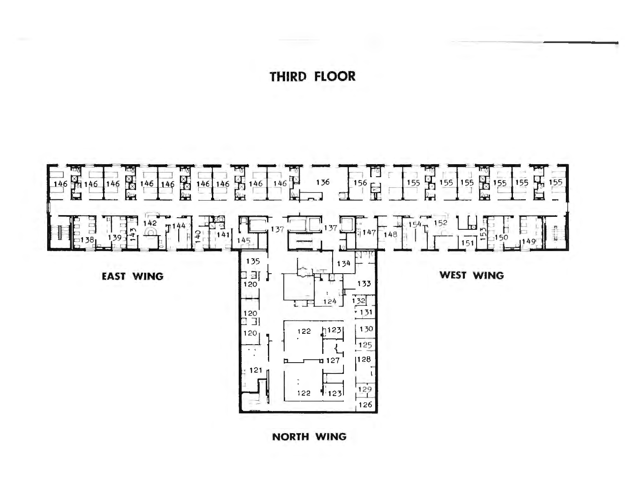# THIRD FLOOR

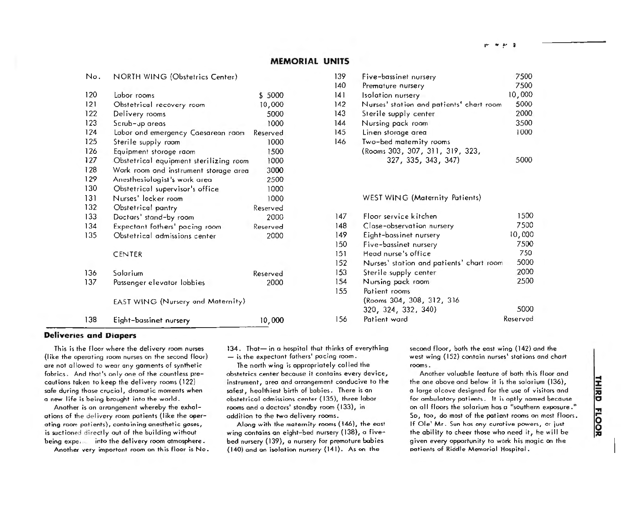|     |                                                                       |          | 140 | Premature nursery             |
|-----|-----------------------------------------------------------------------|----------|-----|-------------------------------|
| 120 | Labor rooms                                                           | \$ 5000  | 141 | Isolation nursery             |
| 121 | Obstetrical recovery room                                             | 10,000   | 142 | Nurses' station and patients' |
| 122 | Delivery rooms                                                        | 5000     | 143 | Sterile supply center         |
| 123 | Scrub-up areas                                                        | 1000     | 144 | Nursing pack room             |
| 124 | Labor ond emergency Caesarean raom                                    | Reserved | 145 | Linen storage area            |
| 125 | Sterile supply raam                                                   | 1000     | 146 | Two-bed maternity rooms       |
| 126 | Equipment storage raom                                                | 1500     |     | (Rooms 303, 307, 311, 319,    |
| 127 | Obstetrical equipment sterilizing room                                | 1000     |     | 327, 335, 343, 347)           |
| 128 |                                                                       | 3000     |     |                               |
| 129 | Wark room and instrument storage area<br>Anesthesiologist's work area | 2500     |     |                               |
| 130 |                                                                       |          |     |                               |
|     | Obstetrical supervisor's office                                       | 1000     |     |                               |
| 131 | Nurses' locker room                                                   | 1000     |     | WEST WING (Maternity Pat      |
| 132 | Obstetrical pantry                                                    | Reserved |     |                               |
| 133 | Doctars' stand-by room                                                | 2000     | 147 | Floor service kitchen         |
| 134 | Expectant fothers' pacing room                                        | Reserved | 148 | Clase-observation nursery     |
| 135 | Obstetrical admissions center                                         | 2000     | 149 | Eight-bassinet nursery        |
|     |                                                                       |          | 150 | Five-bassinet nursery         |
|     | CENTER                                                                |          | 151 | Head nurse's office           |
|     |                                                                       |          | 152 | Nurses' station and patients  |
| 136 | Salarium                                                              | Reserved | 153 | Sterile supply center         |
| 137 | Passenger elevator lobbies                                            | 2000     | 154 | Nursing pack room             |
|     |                                                                       |          | 155 | Potient rooms                 |
|     | EAST WING (Nursery and Maternity)                                     |          |     | (Rooms 304, 308, 312, 316     |
|     |                                                                       |          |     | 320, 324, 332, 340)           |
|     |                                                                       |          | 156 | Patient ward                  |
| 138 | Eight-bassinet nursery                                                | 10,000   |     |                               |

No. NORTH WING (Obstetrics Center)

| 139 |                                          |        |
|-----|------------------------------------------|--------|
|     | Five-bassinet nursery                    | 7500   |
| 140 | Premature nursery                        | 7500   |
| 141 | <b>Isolation nursery</b>                 | 10,000 |
| 142 | Nurses' station and patients' chart room | 5000   |
| 143 | Sterile supply center                    | 2000   |
| 144 | Nursing pack room                        | 3500   |
| 145 | Linen storage area                       | 1000   |
| 146 | Two-bed maternity rooms                  |        |
|     | (Rooms 303, 307, 311, 319, 323,          |        |
|     | 327, 335, 343, 347)                      | 5000   |
|     |                                          |        |

WEST WING (Maternity Patients)

| 2000   | 147 | Floor service kitchen                    | 1500     |
|--------|-----|------------------------------------------|----------|
| served | 148 | Clase-observation nursery                | 7500     |
| 2000   | 149 | Eight-bassinet nursery                   | 10,000   |
|        | 150 | Five-bassinet nursery                    | 7500     |
|        | 151 | Head nurse's office                      | 750      |
|        | 152 | Nurses' station and patients' chart room | 5000     |
| served | 153 | Sterile supply center                    | 2000     |
| 2000   | 154 | Nursing pack room                        | 2500     |
|        | 155 | Potient rooms                            |          |
|        |     | (Rooms 304, 308, 312, 316                |          |
|        |     | 320, 324, 332, 340)                      | 5000     |
| 10,000 | 156 | Patient ward                             | Reserved |
|        |     |                                          |          |

#### **Deliveries and Diapers**

This is the floor where the delivery room nurses (like the operating room nurses on the second floor) are not allowed to wear any gaments of synthetic fabrics. And that's only one of the countless precautions taken to keep the delivery rooms (122) safe during those crucial, dramatic moments when a new life is being brought into the world.

Another is *an* arrangement whereby the exhalations of the delivery room patients (like the operating room patients), contoining anesthetic goses, is suctioned directly out of the building without being expe, , *into* the delivery room atmosphere.

Another very important room on this floor is No.

134. That- in a hospital that thinks of everything - is the expectant fathers' pacing room.

The north wing is appropriately called the obstetrics center because it contains every device, instrument, area and arrangement conducive to the safest, healthiest birth of babies. There is an obstetrical admissions center (135), three labor rooms and a doctors' standby room (133), in addition to the two delivery rooms.

Along with the maternity rooms ( 146), the east wing contains *on* eight-bed nursery (138), o fivebed nursery ( 139), a nursery for premature babies (140) and *an* isolation nursery (141). As on the

second floor, both the east wing (142) *and* the west wing (152) contain nurses' stations and chart rooms.

Another valuable feature of both this floor and the one above and below it is the solarium ( 136), a lorge alcove designed for the use of visitors and for ambulatory patients. It is aptly named because on all floors the solarium has a "southern exposure." So, too, do most of the patient rooms on most Floors. If Ole' Mr. Sun has any curative powers, or just the ability to cheer those who need it, he will be given every opportunity to work his magic on the patients of Riddle Memorial Hospital.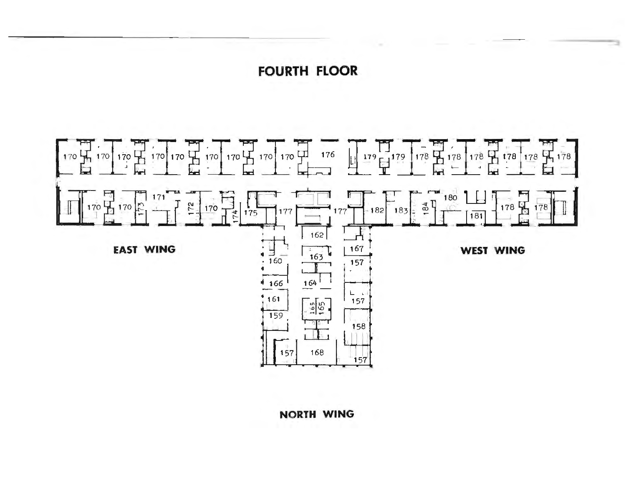# FOURTH FLOOR

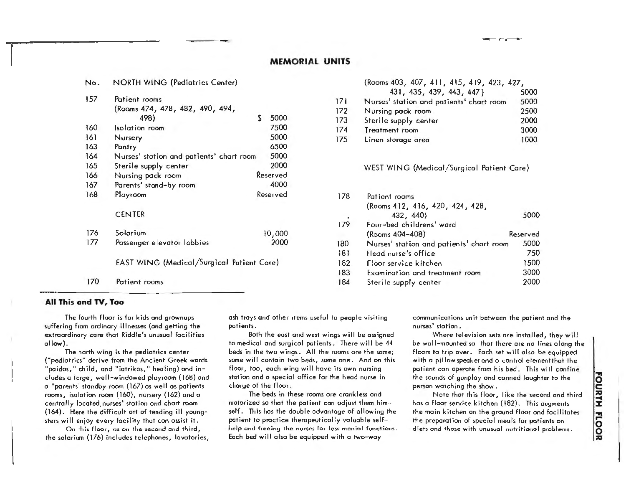| N٥. | NORTH WING (Pediatrics Center)            |             |     | (Rooms 403, 407, 411, 415, 419, 423, 427, |          |
|-----|-------------------------------------------|-------------|-----|-------------------------------------------|----------|
| 157 |                                           |             |     | 431, 435, 439, 443, 447)                  | 5000     |
|     | Patient rooms                             |             | 171 | Nurses' station and patients' chart room  | 5000     |
|     | (Rooms 474, 478, 482, 490, 494,           |             | 172 | Nursing pack room                         | 2500     |
|     | 498)                                      | 5000<br>\$. | 173 | Sterile supply center                     | 2000     |
| 160 | Isolation room                            | 7500        | 174 | Treatment room                            | 3000     |
| 161 | Nursery                                   | 5000        | 175 | Linen storage area                        | 1000     |
| 163 | Pantry                                    | 6500        |     |                                           |          |
| 164 | Nurses' station and patients' chart room  | 5000        |     |                                           |          |
| 165 | Sterile supply center                     | 2000        |     | WEST WING (Medical/Surgicol Patient Care) |          |
| 166 | Nursing pack room                         | Reserved    |     |                                           |          |
| 167 | Parents' stand-by room                    | 4000        |     |                                           |          |
| 168 | Ployroom                                  | Reserved    | 178 | Patient rooms                             |          |
|     |                                           |             |     | (Rooms 412, 416, 420, 424, 428,           |          |
|     | <b>CENTER</b>                             |             |     | 432, 440)                                 | 5000     |
|     |                                           |             | 179 | Four-bed childrens' ward                  |          |
| 176 | Solarium                                  | 10,000      |     | $(Rooms 404 - 408)$                       | Reserved |
| 177 | Passenger elevator lobbies                | 2000        | 180 | Nurses' station and patients' chart room  | 5000     |
|     |                                           |             | 181 | Head nurse's office                       | 750      |
|     | EAST WING (Medical/Surgical Potient Care) |             | 182 | Floor service kitchen                     | 1500     |
|     |                                           |             | 183 | Examination and treatment room            | 3000     |
| 170 | Patient rooms                             |             | 184 | Sterile supply center                     | 200      |
|     |                                           |             |     |                                           |          |

| <b>NORTH WING (Pediatrics Center)</b> |      |     | (Rooms 403, 407, 411, 415, 419, 423, 427, |      |
|---------------------------------------|------|-----|-------------------------------------------|------|
|                                       |      |     | 431, 435, 439, 443, 447)                  | 5000 |
| Patient rooms                         |      | 171 | Nurses' station and patients' chart room  | 5000 |
| (Rooms 474, 478, 482, 490, 494,       |      | 172 | Nursing pack room                         | 2500 |
| 498)                                  | 5000 | 173 | Sterile supply center                     | 2000 |
| solation room                         | 7500 | 174 | Treatment room                            | 3000 |
| Nursery                               | 5000 | 175 | Linen storage area                        | 1000 |
| $D_{n-k-1}$                           | 2500 |     |                                           |      |

| Reserved      | 178 | Patient rooms                            |          |
|---------------|-----|------------------------------------------|----------|
|               |     | (Rooms 412, 416, 420, 424, 428,          |          |
|               |     | 432, 440)                                | 5000     |
|               | 179 | Four-bed childrens' ward                 |          |
| 10,000        |     | (Rooms 404-408)                          | Reserved |
| 2000          | 180 | Nurses' station and patients' chart room | 5000     |
|               | 181 | Head nurse's office                      | 750      |
| Potient Care) | 182 | Floor service kitchen                    | 1500     |
|               | 183 | Examination and treatment room           | 3000     |
|               | 184 | Sterile supply center                    | 2000     |
|               |     |                                          |          |

#### **All This and TV, Too**

The fourth floor is for kids and grownups suffering from ordinary illnesses {ond getting the extraordinary core that Riddle's unusual Facilities allow).

The north wing is the pediatrics center ("pediatrics" derive from the Ancient Greek words "paidos," child, and "iatrikos," healing) and includes a large, well-windowed playroom {168) and a "parents' standby room (167) as well as patients rooms, isolation room {160), nursery {162) and a centrally lacated nurses' station and chart room {164). Here the difficult art of tending ill youngsters will enjoy every facility that can assist it.

On this floor, as on the second and third, the solarium ( 176) includes telephones, lavatories, ash trays and other ,tems useful to people visiting patients.

Both the east and west wings will be assigned ta medical and surgical patients. There will be 44 beds in the two wings. All the rooms are the some; some will contain two beds, some one. And on this floor, too, each wing will have its own nursing station and a special office for the head nurse in charge of the floor.

The beds in these rooms are crankless and motorized so that the patient con adjust them himself. This has the double advantage of allowing the patient to practice therapeuticolly valuable selfhelp and freeing the nurses for less menial functions. Each bed will also be equipped with a two-way

communications unit between the patient ond the nurses' station.

Where television sets are installed, they will be woll-mounted so that there ore no lines along the floors to trip over. Each set will olso be equipped with a pillow speaker and a control element that the patient con operate from his bed. This will confine the sounds of gunploy and conned laughter to the person watching the show.

Note that this floor, like the second and third has a floor service kitchen {182). This augments the main kitchen on the ground floor and facilitates the preparation of special meals for patients on diets and those with unusual nutritionol problems.